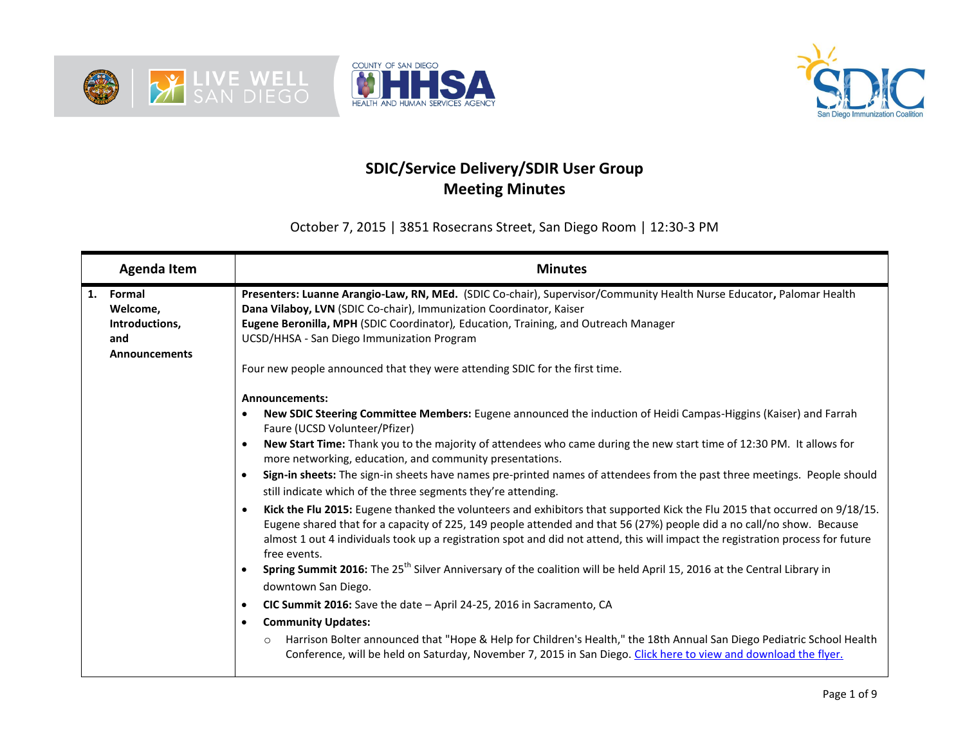





## **SDIC/Service Delivery/SDIR User Group Meeting Minutes**

October 7, 2015 | 3851 Rosecrans Street, San Diego Room | 12:30-3 PM

| <b>Agenda Item</b>                                                        | <b>Minutes</b>                                                                                                                                                                                                                                                                                                                                                                                                                                                                                                                                                                                                                                                                                                                                                                                                                                                                                                                                                                                                                                                                                                                                                                                                                                                                                                                                                                                                                                                                                      |  |  |  |  |  |
|---------------------------------------------------------------------------|-----------------------------------------------------------------------------------------------------------------------------------------------------------------------------------------------------------------------------------------------------------------------------------------------------------------------------------------------------------------------------------------------------------------------------------------------------------------------------------------------------------------------------------------------------------------------------------------------------------------------------------------------------------------------------------------------------------------------------------------------------------------------------------------------------------------------------------------------------------------------------------------------------------------------------------------------------------------------------------------------------------------------------------------------------------------------------------------------------------------------------------------------------------------------------------------------------------------------------------------------------------------------------------------------------------------------------------------------------------------------------------------------------------------------------------------------------------------------------------------------------|--|--|--|--|--|
| 1.<br>Formal<br>Welcome,<br>Introductions,<br>and<br><b>Announcements</b> | Presenters: Luanne Arangio-Law, RN, MEd. (SDIC Co-chair), Supervisor/Community Health Nurse Educator, Palomar Health<br>Dana Vilaboy, LVN (SDIC Co-chair), Immunization Coordinator, Kaiser<br>Eugene Beronilla, MPH (SDIC Coordinator), Education, Training, and Outreach Manager<br>UCSD/HHSA - San Diego Immunization Program<br>Four new people announced that they were attending SDIC for the first time.                                                                                                                                                                                                                                                                                                                                                                                                                                                                                                                                                                                                                                                                                                                                                                                                                                                                                                                                                                                                                                                                                     |  |  |  |  |  |
|                                                                           | Announcements:<br>New SDIC Steering Committee Members: Eugene announced the induction of Heidi Campas-Higgins (Kaiser) and Farrah<br>Faure (UCSD Volunteer/Pfizer)<br>New Start Time: Thank you to the majority of attendees who came during the new start time of 12:30 PM. It allows for<br>more networking, education, and community presentations.<br>Sign-in sheets: The sign-in sheets have names pre-printed names of attendees from the past three meetings. People should<br>still indicate which of the three segments they're attending.<br>Kick the Flu 2015: Eugene thanked the volunteers and exhibitors that supported Kick the Flu 2015 that occurred on 9/18/15.<br>Eugene shared that for a capacity of 225, 149 people attended and that 56 (27%) people did a no call/no show. Because<br>almost 1 out 4 individuals took up a registration spot and did not attend, this will impact the registration process for future<br>free events.<br>Spring Summit 2016: The 25 <sup>th</sup> Silver Anniversary of the coalition will be held April 15, 2016 at the Central Library in<br>downtown San Diego.<br>CIC Summit 2016: Save the date - April 24-25, 2016 in Sacramento, CA<br>$\bullet$<br><b>Community Updates:</b><br>Harrison Bolter announced that "Hope & Help for Children's Health," the 18th Annual San Diego Pediatric School Health<br>$\circ$<br>Conference, will be held on Saturday, November 7, 2015 in San Diego. Click here to view and download the flyer. |  |  |  |  |  |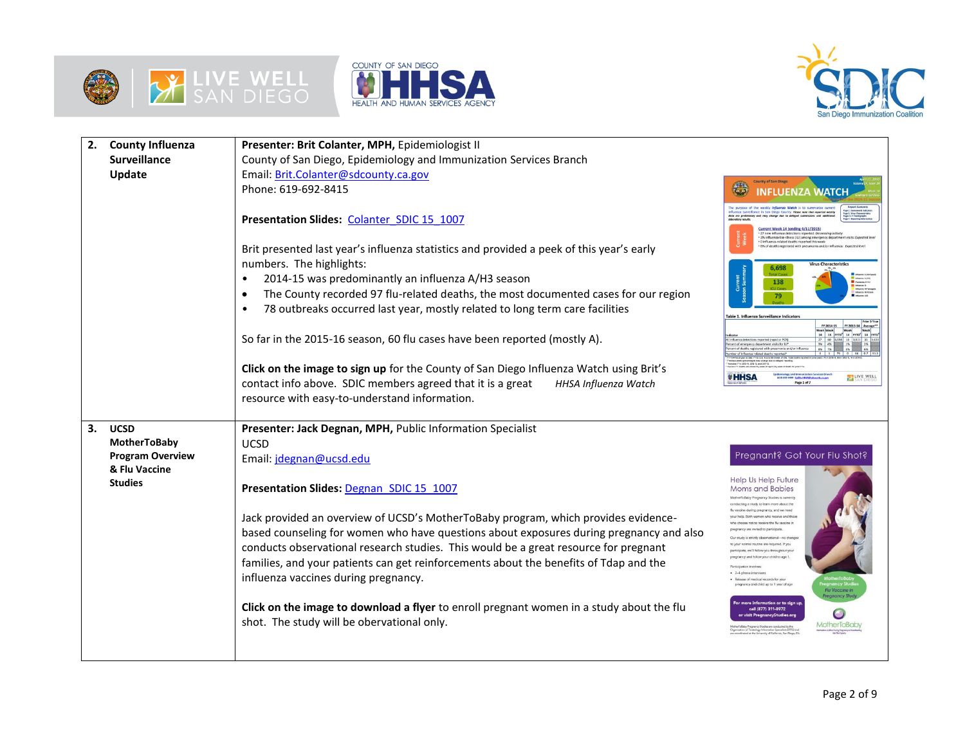





| <b>County Influenza</b><br>Presenter: Brit Colanter, MPH, Epidemiologist II<br>2. |                                                                                           |                                                                                                                                                                                                                                                                                                                                                                                                                                                                                                                                                                                                                                                                                                               |                                                                                                                                                                                                                                                                                                                                                                                                                                                                                                                                                                                                                                                                                                                                                                                |  |  |  |  |
|-----------------------------------------------------------------------------------|-------------------------------------------------------------------------------------------|---------------------------------------------------------------------------------------------------------------------------------------------------------------------------------------------------------------------------------------------------------------------------------------------------------------------------------------------------------------------------------------------------------------------------------------------------------------------------------------------------------------------------------------------------------------------------------------------------------------------------------------------------------------------------------------------------------------|--------------------------------------------------------------------------------------------------------------------------------------------------------------------------------------------------------------------------------------------------------------------------------------------------------------------------------------------------------------------------------------------------------------------------------------------------------------------------------------------------------------------------------------------------------------------------------------------------------------------------------------------------------------------------------------------------------------------------------------------------------------------------------|--|--|--|--|
|                                                                                   | <b>Surveillance</b>                                                                       | County of San Diego, Epidemiology and Immunization Services Branch                                                                                                                                                                                                                                                                                                                                                                                                                                                                                                                                                                                                                                            |                                                                                                                                                                                                                                                                                                                                                                                                                                                                                                                                                                                                                                                                                                                                                                                |  |  |  |  |
|                                                                                   | Update                                                                                    | Email: Brit.Colanter@sdcounty.ca.gov                                                                                                                                                                                                                                                                                                                                                                                                                                                                                                                                                                                                                                                                          | <b>County of San Diego</b>                                                                                                                                                                                                                                                                                                                                                                                                                                                                                                                                                                                                                                                                                                                                                     |  |  |  |  |
|                                                                                   |                                                                                           | Phone: 619-692-8415                                                                                                                                                                                                                                                                                                                                                                                                                                                                                                                                                                                                                                                                                           | $\mathbb{C}$<br><b>INFLUENZA WATCI</b>                                                                                                                                                                                                                                                                                                                                                                                                                                                                                                                                                                                                                                                                                                                                         |  |  |  |  |
|                                                                                   |                                                                                           | Presentation Slides: Colanter SDIC 15 1007<br>Brit presented last year's influenza statistics and provided a peek of this year's early<br>numbers. The highlights:<br>2014-15 was predominantly an influenza A/H3 season<br>The County recorded 97 flu-related deaths, the most documented cases for our region<br>78 outbreaks occurred last year, mostly related to long term care facilities<br>So far in the 2015-16 season, 60 flu cases have been reported (mostly A).<br>Click on the image to sign up for the County of San Diego Influenza Watch using Brit's<br>contact info above. SDIC members agreed that it is a great<br>HHSA Influenza Watch<br>resource with easy-to-understand information. | weekly befluenze Wotch is to sam<br>ice in San Diego County. Please note that reported weekly<br>and may change due to delayed submissions and additional<br>data are prelix<br>Johanntony resu<br>Current Week 14 (ending 4/11/2015)<br>* 27 new influenza detections reported: Decreasing activity<br>* 3% influenza-like-illness (IU) among emergency department v<br>* 0 influenza-related deaths reported this week<br>* 8% of deaths registered with pneumonia and/or influenza: Expe<br>6,698<br>138<br><b>CUC+</b><br>79<br>Table 1. Influenza Surveillance Indicator<br>FY 2014-15<br>FY 2013-14 Ave<br>14 13 FYTD" 14 FYTD"<br>tions reported (rapid or PCF<br>ent of emergency department visits for ILI<br><b><i>*</i>HHSA</b><br><b>ELIVE WELL</b><br>Page 1 of 7 |  |  |  |  |
| 3.                                                                                | <b>UCSD</b><br>MotherToBaby<br><b>Program Overview</b><br>& Flu Vaccine<br><b>Studies</b> | Presenter: Jack Degnan, MPH, Public Information Specialist<br><b>UCSD</b><br>Email: jdegnan@ucsd.edu<br>Presentation Slides: Degnan SDIC 15 1007<br>Jack provided an overview of UCSD's MotherToBaby program, which provides evidence-<br>based counseling for women who have questions about exposures during pregnancy and also<br>conducts observational research studies. This would be a great resource for pregnant<br>families, and your patients can get reinforcements about the benefits of Tdap and the<br>influenza vaccines during pregnancy.<br>Click on the image to download a flyer to enroll pregnant women in a study about the flu<br>shot. The study will be obervational only.          | Pregnant? Got Your Flu Shot?<br>Help Us Help Future<br><b>Moms and Babies</b><br>MotherToBahy Pregnancy Studies is current<br>our normal routine are required. If you<br>articipate, we'll follow you throughout yo<br>regnancy and follow your child to age 1<br>· 2-4 phone interview<br>Release of medical records for your<br>regnancy and child up to 1 year of age<br>mation or to sic<br>call (877) 311-8972<br>sit PrognancySt                                                                                                                                                                                                                                                                                                                                         |  |  |  |  |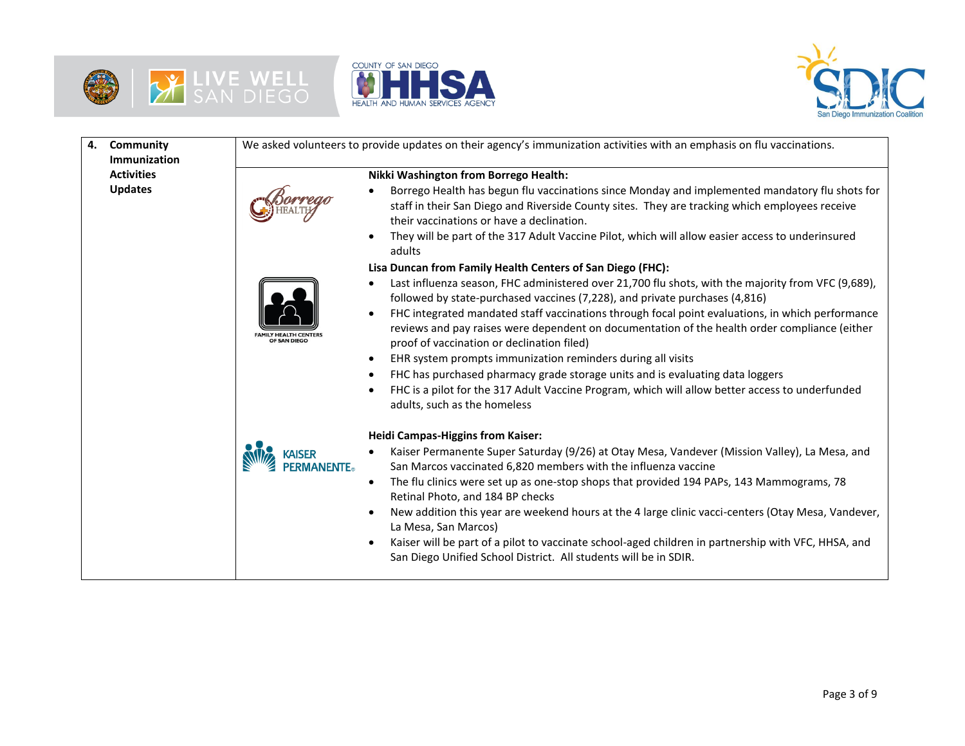





| 4. | Community<br>Immunization |                | We asked volunteers to provide updates on their agency's immunization activities with an emphasis on flu vaccinations.                                                                                                                                       |
|----|---------------------------|----------------|--------------------------------------------------------------------------------------------------------------------------------------------------------------------------------------------------------------------------------------------------------------|
|    | <b>Activities</b>         |                | Nikki Washington from Borrego Health:                                                                                                                                                                                                                        |
|    | <b>Updates</b>            |                | Borrego Health has begun flu vaccinations since Monday and implemented mandatory flu shots for<br>staff in their San Diego and Riverside County sites. They are tracking which employees receive<br>their vaccinations or have a declination.                |
|    |                           |                | They will be part of the 317 Adult Vaccine Pilot, which will allow easier access to underinsured<br>adults                                                                                                                                                   |
|    |                           |                | Lisa Duncan from Family Health Centers of San Diego (FHC):                                                                                                                                                                                                   |
|    |                           |                | Last influenza season, FHC administered over 21,700 flu shots, with the majority from VFC (9,689),<br>followed by state-purchased vaccines (7,228), and private purchases (4,816)                                                                            |
|    |                           | OF SAN DIEG    | FHC integrated mandated staff vaccinations through focal point evaluations, in which performance<br>$\bullet$<br>reviews and pay raises were dependent on documentation of the health order compliance (either<br>proof of vaccination or declination filed) |
|    |                           |                | EHR system prompts immunization reminders during all visits                                                                                                                                                                                                  |
|    |                           |                | FHC has purchased pharmacy grade storage units and is evaluating data loggers                                                                                                                                                                                |
|    |                           |                | FHC is a pilot for the 317 Adult Vaccine Program, which will allow better access to underfunded<br>adults, such as the homeless                                                                                                                              |
|    |                           |                | <b>Heidi Campas-Higgins from Kaiser:</b>                                                                                                                                                                                                                     |
|    |                           | <b>MANENTE</b> | Kaiser Permanente Super Saturday (9/26) at Otay Mesa, Vandever (Mission Valley), La Mesa, and<br>San Marcos vaccinated 6,820 members with the influenza vaccine                                                                                              |
|    |                           |                | The flu clinics were set up as one-stop shops that provided 194 PAPs, 143 Mammograms, 78<br>$\bullet$<br>Retinal Photo, and 184 BP checks                                                                                                                    |
|    |                           |                | New addition this year are weekend hours at the 4 large clinic vacci-centers (Otay Mesa, Vandever,<br>La Mesa, San Marcos)                                                                                                                                   |
|    |                           |                | Kaiser will be part of a pilot to vaccinate school-aged children in partnership with VFC, HHSA, and<br>San Diego Unified School District. All students will be in SDIR.                                                                                      |
|    |                           |                |                                                                                                                                                                                                                                                              |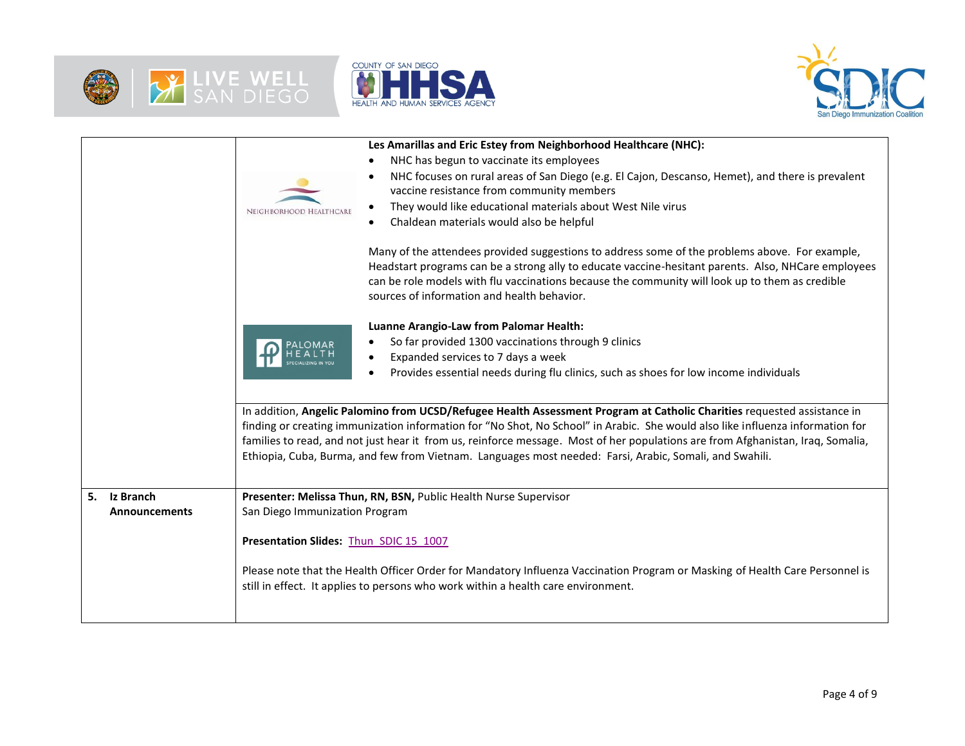





|                      | Les Amarillas and Eric Estey from Neighborhood Healthcare (NHC):                                                                              |  |  |  |  |
|----------------------|-----------------------------------------------------------------------------------------------------------------------------------------------|--|--|--|--|
|                      | NHC has begun to vaccinate its employees                                                                                                      |  |  |  |  |
|                      | NHC focuses on rural areas of San Diego (e.g. El Cajon, Descanso, Hemet), and there is prevalent<br>vaccine resistance from community members |  |  |  |  |
|                      | They would like educational materials about West Nile virus                                                                                   |  |  |  |  |
|                      | NEIGHBORHOOD HEALTHCARE<br>Chaldean materials would also be helpful                                                                           |  |  |  |  |
|                      |                                                                                                                                               |  |  |  |  |
|                      | Many of the attendees provided suggestions to address some of the problems above. For example,                                                |  |  |  |  |
|                      | Headstart programs can be a strong ally to educate vaccine-hesitant parents. Also, NHCare employees                                           |  |  |  |  |
|                      | can be role models with flu vaccinations because the community will look up to them as credible                                               |  |  |  |  |
|                      | sources of information and health behavior.                                                                                                   |  |  |  |  |
|                      |                                                                                                                                               |  |  |  |  |
|                      | Luanne Arangio-Law from Palomar Health:                                                                                                       |  |  |  |  |
|                      | So far provided 1300 vaccinations through 9 clinics                                                                                           |  |  |  |  |
|                      | Expanded services to 7 days a week                                                                                                            |  |  |  |  |
|                      | Provides essential needs during flu clinics, such as shoes for low income individuals                                                         |  |  |  |  |
|                      |                                                                                                                                               |  |  |  |  |
|                      | In addition, Angelic Palomino from UCSD/Refugee Health Assessment Program at Catholic Charities requested assistance in                       |  |  |  |  |
|                      | finding or creating immunization information for "No Shot, No School" in Arabic. She would also like influenza information for                |  |  |  |  |
|                      | families to read, and not just hear it from us, reinforce message. Most of her populations are from Afghanistan, Iraq, Somalia,               |  |  |  |  |
|                      | Ethiopia, Cuba, Burma, and few from Vietnam. Languages most needed: Farsi, Arabic, Somali, and Swahili.                                       |  |  |  |  |
|                      |                                                                                                                                               |  |  |  |  |
| Iz Branch<br>5.      | Presenter: Melissa Thun, RN, BSN, Public Health Nurse Supervisor                                                                              |  |  |  |  |
| <b>Announcements</b> | San Diego Immunization Program                                                                                                                |  |  |  |  |
|                      |                                                                                                                                               |  |  |  |  |
|                      | Presentation Slides: Thun SDIC 15 1007                                                                                                        |  |  |  |  |
|                      |                                                                                                                                               |  |  |  |  |
|                      | Please note that the Health Officer Order for Mandatory Influenza Vaccination Program or Masking of Health Care Personnel is                  |  |  |  |  |
|                      | still in effect. It applies to persons who work within a health care environment.                                                             |  |  |  |  |
|                      |                                                                                                                                               |  |  |  |  |
|                      |                                                                                                                                               |  |  |  |  |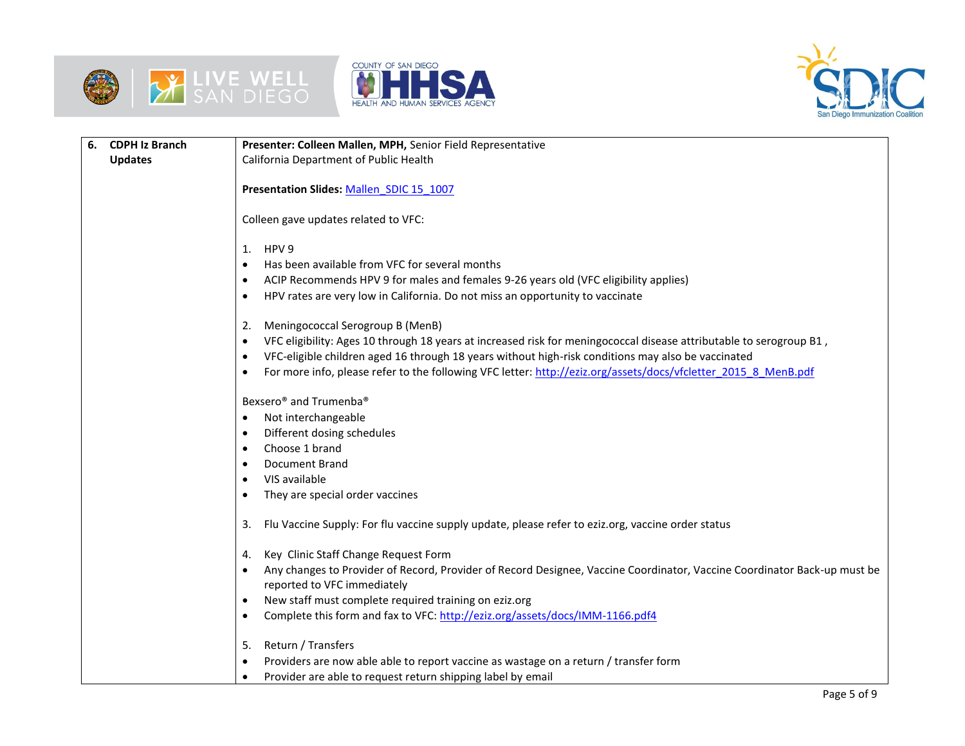





| 6. | <b>CDPH Iz Branch</b> | Presenter: Colleen Mallen, MPH, Senior Field Representative                                                              |  |  |  |  |  |
|----|-----------------------|--------------------------------------------------------------------------------------------------------------------------|--|--|--|--|--|
|    | <b>Updates</b>        | California Department of Public Health                                                                                   |  |  |  |  |  |
|    |                       |                                                                                                                          |  |  |  |  |  |
|    |                       | Presentation Slides: Mallen_SDIC 15_1007                                                                                 |  |  |  |  |  |
|    |                       |                                                                                                                          |  |  |  |  |  |
|    |                       | Colleen gave updates related to VFC:                                                                                     |  |  |  |  |  |
|    |                       | HPV <sub>9</sub>                                                                                                         |  |  |  |  |  |
|    |                       | 1.<br>Has been available from VFC for several months                                                                     |  |  |  |  |  |
|    |                       | ACIP Recommends HPV 9 for males and females 9-26 years old (VFC eligibility applies)                                     |  |  |  |  |  |
|    |                       | HPV rates are very low in California. Do not miss an opportunity to vaccinate                                            |  |  |  |  |  |
|    |                       |                                                                                                                          |  |  |  |  |  |
|    |                       | Meningococcal Serogroup B (MenB)<br>2.                                                                                   |  |  |  |  |  |
|    |                       | VFC eligibility: Ages 10 through 18 years at increased risk for meningococcal disease attributable to serogroup B1,      |  |  |  |  |  |
|    |                       | VFC-eligible children aged 16 through 18 years without high-risk conditions may also be vaccinated                       |  |  |  |  |  |
|    |                       | For more info, please refer to the following VFC letter: http://eziz.org/assets/docs/vfcletter 2015 8 MenB.pdf           |  |  |  |  |  |
|    |                       |                                                                                                                          |  |  |  |  |  |
|    |                       | Bexsero <sup>®</sup> and Trumenba <sup>®</sup>                                                                           |  |  |  |  |  |
|    |                       | Not interchangeable<br>$\bullet$                                                                                         |  |  |  |  |  |
|    |                       | Different dosing schedules                                                                                               |  |  |  |  |  |
|    |                       | Choose 1 brand                                                                                                           |  |  |  |  |  |
|    |                       | <b>Document Brand</b>                                                                                                    |  |  |  |  |  |
|    |                       | VIS available                                                                                                            |  |  |  |  |  |
|    |                       | They are special order vaccines                                                                                          |  |  |  |  |  |
|    |                       | Flu Vaccine Supply: For flu vaccine supply update, please refer to eziz.org, vaccine order status<br>3.                  |  |  |  |  |  |
|    |                       |                                                                                                                          |  |  |  |  |  |
|    |                       | Key Clinic Staff Change Request Form<br>4.                                                                               |  |  |  |  |  |
|    |                       | Any changes to Provider of Record, Provider of Record Designee, Vaccine Coordinator, Vaccine Coordinator Back-up must be |  |  |  |  |  |
|    |                       | reported to VFC immediately                                                                                              |  |  |  |  |  |
|    |                       | New staff must complete required training on eziz.org<br>$\bullet$                                                       |  |  |  |  |  |
|    |                       | Complete this form and fax to VFC: http://eziz.org/assets/docs/IMM-1166.pdf4                                             |  |  |  |  |  |
|    |                       |                                                                                                                          |  |  |  |  |  |
|    |                       | Return / Transfers<br>5.                                                                                                 |  |  |  |  |  |
|    |                       | Providers are now able able to report vaccine as wastage on a return / transfer form                                     |  |  |  |  |  |
|    |                       | Provider are able to request return shipping label by email<br>$\bullet$                                                 |  |  |  |  |  |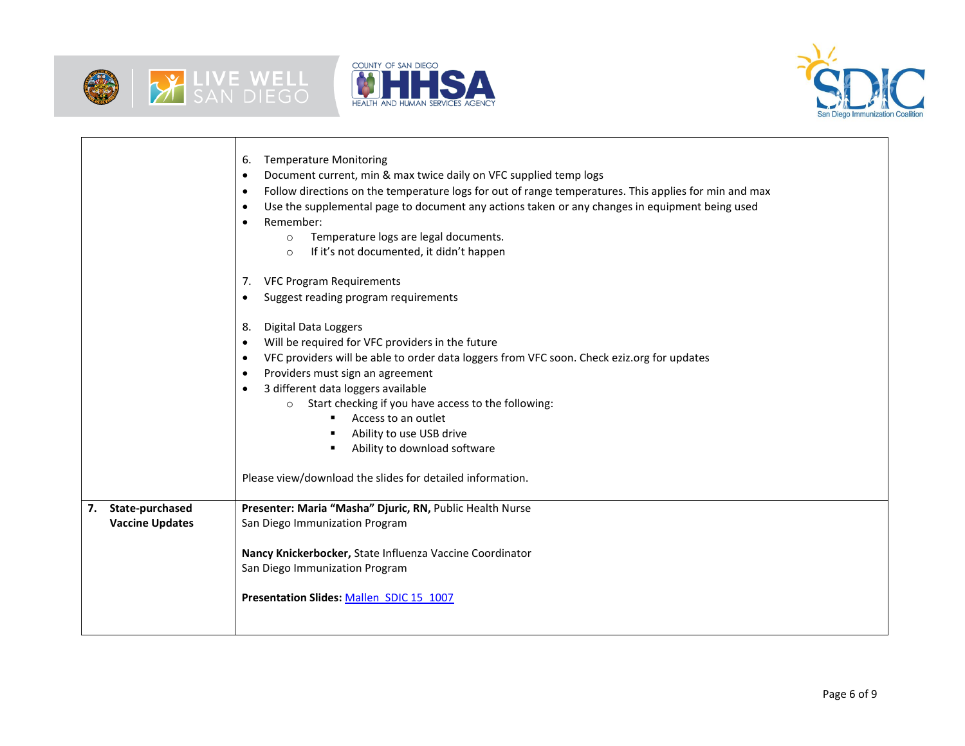

т

Г





٦

|                        | <b>Temperature Monitoring</b><br>6.<br>Document current, min & max twice daily on VFC supplied temp logs<br>$\bullet$<br>Follow directions on the temperature logs for out of range temperatures. This applies for min and max<br>$\bullet$<br>Use the supplemental page to document any actions taken or any changes in equipment being used<br>$\bullet$<br>Remember:<br>Temperature logs are legal documents.<br>$\circ$<br>If it's not documented, it didn't happen<br>$\circ$ |
|------------------------|------------------------------------------------------------------------------------------------------------------------------------------------------------------------------------------------------------------------------------------------------------------------------------------------------------------------------------------------------------------------------------------------------------------------------------------------------------------------------------|
|                        | <b>VFC Program Requirements</b><br>7.<br>Suggest reading program requirements                                                                                                                                                                                                                                                                                                                                                                                                      |
|                        | <b>Digital Data Loggers</b><br>8.                                                                                                                                                                                                                                                                                                                                                                                                                                                  |
|                        | Will be required for VFC providers in the future                                                                                                                                                                                                                                                                                                                                                                                                                                   |
|                        | VFC providers will be able to order data loggers from VFC soon. Check eziz.org for updates<br>$\bullet$                                                                                                                                                                                                                                                                                                                                                                            |
|                        | Providers must sign an agreement                                                                                                                                                                                                                                                                                                                                                                                                                                                   |
|                        | 3 different data loggers available                                                                                                                                                                                                                                                                                                                                                                                                                                                 |
|                        | Start checking if you have access to the following:<br>$\circ$                                                                                                                                                                                                                                                                                                                                                                                                                     |
|                        | Access to an outlet                                                                                                                                                                                                                                                                                                                                                                                                                                                                |
|                        | Ability to use USB drive<br>٠                                                                                                                                                                                                                                                                                                                                                                                                                                                      |
|                        | Ability to download software                                                                                                                                                                                                                                                                                                                                                                                                                                                       |
|                        | Please view/download the slides for detailed information.                                                                                                                                                                                                                                                                                                                                                                                                                          |
| State-purchased<br>7.  | Presenter: Maria "Masha" Djuric, RN, Public Health Nurse                                                                                                                                                                                                                                                                                                                                                                                                                           |
| <b>Vaccine Updates</b> | San Diego Immunization Program                                                                                                                                                                                                                                                                                                                                                                                                                                                     |
|                        |                                                                                                                                                                                                                                                                                                                                                                                                                                                                                    |
|                        | Nancy Knickerbocker, State Influenza Vaccine Coordinator                                                                                                                                                                                                                                                                                                                                                                                                                           |
|                        | San Diego Immunization Program                                                                                                                                                                                                                                                                                                                                                                                                                                                     |
|                        | Presentation Slides: Mallen SDIC 15 1007                                                                                                                                                                                                                                                                                                                                                                                                                                           |
|                        |                                                                                                                                                                                                                                                                                                                                                                                                                                                                                    |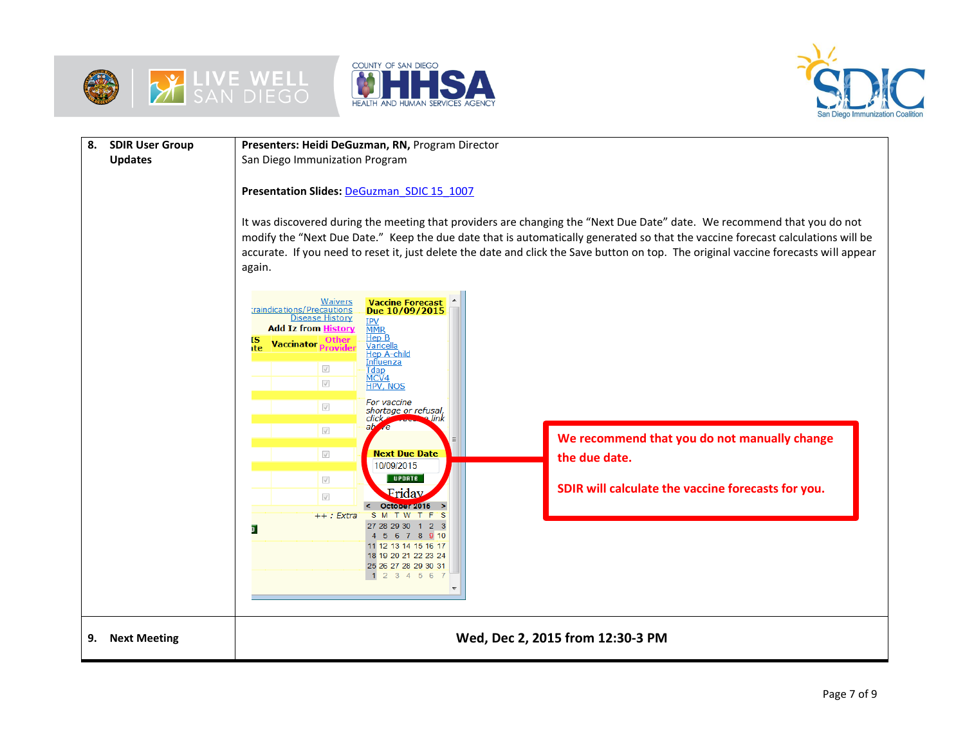





| 8.<br><b>SDIR User Group</b><br><b>Updates</b> | Presenters: Heidi DeGuzman, RN, Program Director<br>San Diego Immunization Program<br>Presentation Slides: DeGuzman SDIC 15 1007<br>It was discovered during the meeting that providers are changing the "Next Due Date" date. We recommend that you do not<br>modify the "Next Due Date." Keep the due date that is automatically generated so that the vaccine forecast calculations will be<br>accurate. If you need to reset it, just delete the date and click the Save button on top. The original vaccine forecasts will appear<br>again.                               |  |  |  |  |
|------------------------------------------------|--------------------------------------------------------------------------------------------------------------------------------------------------------------------------------------------------------------------------------------------------------------------------------------------------------------------------------------------------------------------------------------------------------------------------------------------------------------------------------------------------------------------------------------------------------------------------------|--|--|--|--|
|                                                | Vaccine Forecast<br>Due 10/09/2015<br><b>Waivers</b><br>raindications/Precautions<br><b>Disease History</b><br><b>IPV</b><br>MMR<br><b>Add Iz from History</b><br><u>Hep B</u><br>ΙS<br>Other<br><b>Vaccinator Provide</b><br><u>Varicella</u><br>ite<br><u>Hep A-child</u><br><u>Influenza</u><br>$\sqrt{}$<br>Tdap<br>MCV4<br>$\sqrt{}$<br><b>HPV, NOS</b><br>For vaccine<br>$\sqrt{}$<br>shortage or refusal,<br>click<br>link<br>$ab$ $e$<br>$\sqrt{}$<br>We recommend that you do not manually change<br>$\sqrt{}$<br><b>Next Due Date</b><br>the due date.<br>10/09/2015 |  |  |  |  |
|                                                | <b>UPDATE</b><br>$\sqrt{}$<br>SDIR will calculate the vaccine forecasts for you.<br>Friday<br>$\sqrt{}$<br>October 2015<br>$++:$ Extra<br>SMTWTFS<br>27 28 29 30 1 2 3<br>5 6 7 8 9 10<br>11 12 13 14 15 16 17<br>18 19 20 21 22 23 24<br>25 26 27 28 29 30 31<br>2 3 4 5 6 7                                                                                                                                                                                                                                                                                                  |  |  |  |  |
| <b>Next Meeting</b><br>9.                      | Wed, Dec 2, 2015 from 12:30-3 PM                                                                                                                                                                                                                                                                                                                                                                                                                                                                                                                                               |  |  |  |  |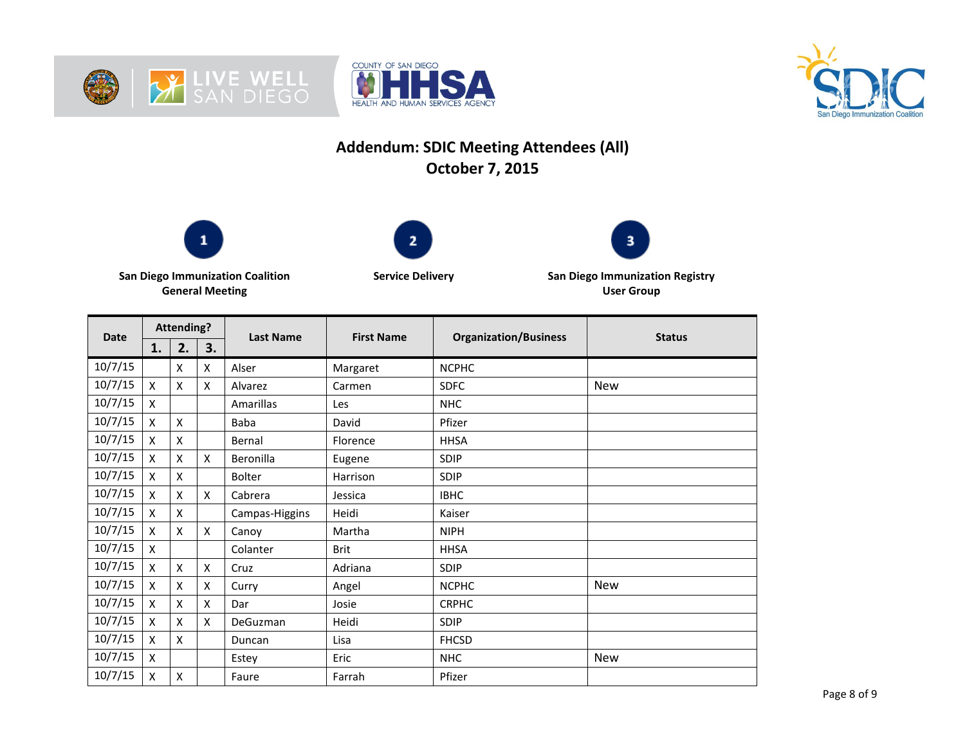





## **Addendum: SDIC Meeting Attendees (All) October 7, 2015**







**San Diego Immunization Coalition General Meeting**

**Service Delivery San Diego Immunization Registry User Group**

| <b>Date</b> | <b>Attending?</b>         |    |    | <b>Last Name</b> | <b>First Name</b> | <b>Organization/Business</b> | <b>Status</b> |
|-------------|---------------------------|----|----|------------------|-------------------|------------------------------|---------------|
|             | 1.                        | 2. | 3. |                  |                   |                              |               |
| 10/7/15     |                           | X  | X  | Alser            | Margaret          | <b>NCPHC</b>                 |               |
| 10/7/15     | X                         | X  | X  | Alvarez          | Carmen            | <b>SDFC</b>                  | <b>New</b>    |
| 10/7/15     | $\boldsymbol{\mathsf{x}}$ |    |    | <b>Amarillas</b> | Les               | <b>NHC</b>                   |               |
| 10/7/15     | X                         | X  |    | Baba             | David             | Pfizer                       |               |
| 10/7/15     | X                         | X  |    | Bernal           | Florence          | <b>HHSA</b>                  |               |
| 10/7/15     | X                         | X  | X  | Beronilla        | Eugene            | SDIP                         |               |
| 10/7/15     | X                         | X  |    | <b>Bolter</b>    | Harrison          | SDIP                         |               |
| 10/7/15     | X                         | X  | X  | Cabrera          | Jessica           | <b>IBHC</b>                  |               |
| 10/7/15     | X                         | X  |    | Campas-Higgins   | Heidi             | Kaiser                       |               |
| 10/7/15     | $\boldsymbol{\mathsf{x}}$ | X  | X  | Canoy            | Martha            | <b>NIPH</b>                  |               |
| 10/7/15     | X                         |    |    | Colanter         | <b>Brit</b>       | <b>HHSA</b>                  |               |
| 10/7/15     | X                         | X  | X  | Cruz             | Adriana           | <b>SDIP</b>                  |               |
| 10/7/15     | X                         | X  | X  | Curry            | Angel             | <b>NCPHC</b>                 | <b>New</b>    |
| 10/7/15     | $\boldsymbol{\mathsf{x}}$ | X  | X  | Dar              | Josie             | <b>CRPHC</b>                 |               |
| 10/7/15     | X                         | X  | x  | DeGuzman         | Heidi             | SDIP                         |               |
| 10/7/15     | X                         | X  |    | Duncan           | Lisa              | <b>FHCSD</b>                 |               |
| 10/7/15     | X                         |    |    | Estey            | Eric              | <b>NHC</b>                   | New           |
| 10/7/15     | X                         | X  |    | Faure            | Farrah            | Pfizer                       |               |